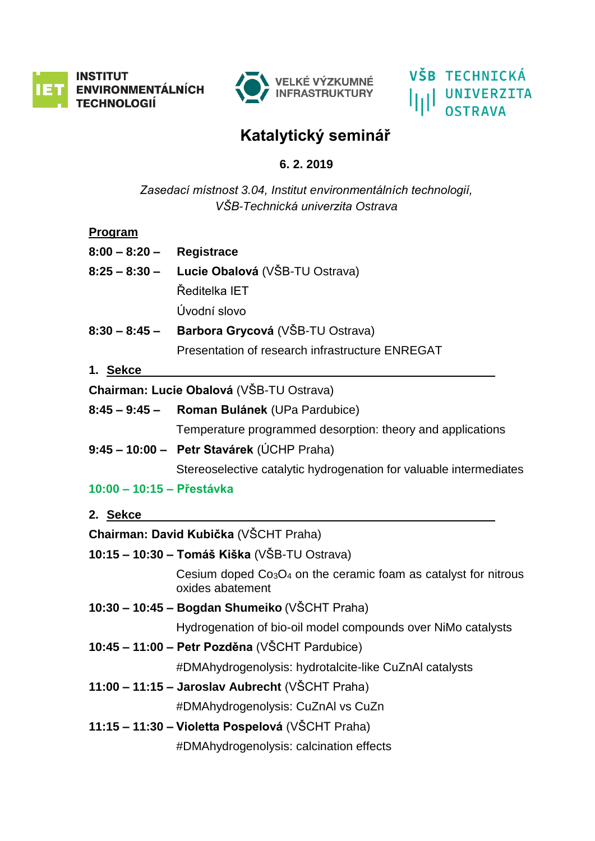





# **Katalytický seminář**

## **6. 2. 2019**

*Zasedací místnost 3.04, Institut environmentálních technologií, VŠB-Technická univerzita Ostrava*

**Program**

| $8:00 - 8:20 -$ Registrace |                                                                                      |
|----------------------------|--------------------------------------------------------------------------------------|
|                            | 8:25 - 8:30 - Lucie Obalová (VŠB-TU Ostrava)                                         |
|                            | Ředitelka IET                                                                        |
|                            | Úvodní slovo                                                                         |
|                            | 8:30 – 8:45 – Barbora Grycová (VŠB-TU Ostrava)                                       |
|                            | Presentation of research infrastructure ENREGAT                                      |
| 1. Sekce                   |                                                                                      |
|                            | Chairman: Lucie Obalová (VŠB-TU Ostrava)                                             |
|                            | 8:45 – 9:45 – Roman Bulánek (UPa Pardubice)                                          |
|                            | Temperature programmed desorption: theory and applications                           |
|                            | 9:45 - 10:00 - Petr Stavárek (ÚCHP Praha)                                            |
|                            | Stereoselective catalytic hydrogenation for valuable intermediates                   |
| 10:00 - 10:15 - Přestávka  |                                                                                      |
| 2. Sekce                   |                                                                                      |
|                            | Chairman: David Kubička (VŠCHT Praha)                                                |
|                            | 10:15 – 10:30 – Tomáš Kiška (VŠB-TU Ostrava)                                         |
|                            |                                                                                      |
|                            | Cesium doped $Co3O4$ on the ceramic foam as catalyst for nitrous<br>oxides abatement |
|                            | 10:30 - 10:45 - Bogdan Shumeiko (VŠCHT Praha)                                        |
|                            | Hydrogenation of bio-oil model compounds over NiMo catalysts                         |
|                            | 10:45 - 11:00 - Petr Pozděna (VŠCHT Pardubice)                                       |
|                            | #DMAhydrogenolysis: hydrotalcite-like CuZnAI catalysts                               |
|                            | 11:00 - 11:15 - Jaroslav Aubrecht (VŠCHT Praha)                                      |
|                            | #DMAhydrogenolysis: CuZnAI vs CuZn                                                   |
|                            | 11:15 - 11:30 - Violetta Pospelová (VŠCHT Praha)                                     |
|                            | #DMAhydrogenolysis: calcination effects                                              |